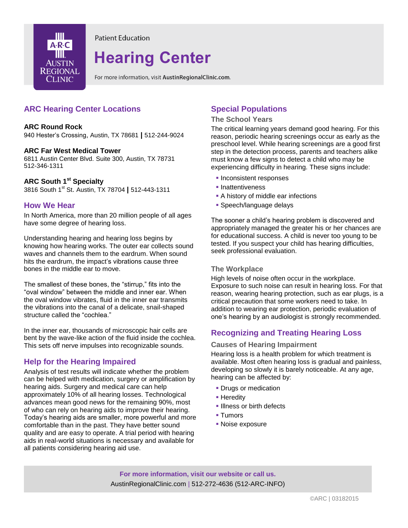

**Patient Education** 

# **Hearing Center**

For more information, visit AustinRegionalClinic.com.

# **ARC Hearing Center Locations**

#### **ARC Round Rock**

940 Hester's Crossing, Austin, TX 78681 **|** 512-244-9024

#### **ARC Far West Medical Tower**

6811 Austin Center Blvd. Suite 300, Austin, TX 78731 512-346-1311

#### **ARC South 1 st Specialty**

3816 South 1st St. Austin, TX 78704 **|** 512-443-1311

### **How We Hear**

In North America, more than 20 million people of all ages have some degree of hearing loss.

Understanding hearing and hearing loss begins by knowing how hearing works. The outer ear collects sound waves and channels them to the eardrum. When sound hits the eardrum, the impact's vibrations cause three bones in the middle ear to move.

The smallest of these bones, the "stirrup," fits into the "oval window" between the middle and inner ear. When the oval window vibrates, fluid in the inner ear transmits the vibrations into the canal of a delicate, snail-shaped structure called the "cochlea."

In the inner ear, thousands of microscopic hair cells are bent by the wave-like action of the fluid inside the cochlea. This sets off nerve impulses into recognizable sounds.

## **Help for the Hearing Impaired**

Analysis of test results will indicate whether the problem can be helped with medication, surgery or amplification by hearing aids. Surgery and medical care can help approximately 10% of all hearing losses. Technological advances mean good news for the remaining 90%, most of who can rely on hearing aids to improve their hearing. Today's hearing aids are smaller, more powerful and more comfortable than in the past. They have better sound quality and are easy to operate. A trial period with hearing aids in real-world situations is necessary and available for all patients considering hearing aid use.

## **Special Populations**

#### **The School Years**

The critical learning years demand good hearing. For this reason, periodic hearing screenings occur as early as the preschool level. While hearing screenings are a good first step in the detection process, parents and teachers alike must know a few signs to detect a child who may be experiencing difficulty in hearing. These signs include:

- **Inconsistent responses**
- **Inattentiveness**
- A history of middle ear infections
- **Speech/language delays**

The sooner a child's hearing problem is discovered and appropriately managed the greater his or her chances are for educational success. A child is never too young to be tested. If you suspect your child has hearing difficulties, seek professional evaluation.

#### **The Workplace**

High levels of noise often occur in the workplace. Exposure to such noise can result in hearing loss. For that reason, wearing hearing protection, such as ear plugs, is a critical precaution that some workers need to take. In addition to wearing ear protection, periodic evaluation of one's hearing by an audiologist is strongly recommended.

## **Recognizing and Treating Hearing Loss**

**Causes of Hearing Impairment**

Hearing loss is a health problem for which treatment is available. Most often hearing loss is gradual and painless, developing so slowly it is barely noticeable. At any age, hearing can be affected by:

- **Drugs or medication**
- **Heredity**
- **Illness or birth defects**
- **Tumors**
- Noise exposure

**For more information, visit our website or call us.** AustinRegionalClinic.com | 512-272-4636 (512-ARC-INFO)